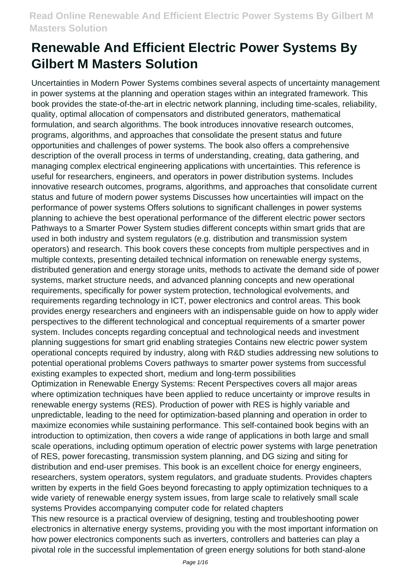Uncertainties in Modern Power Systems combines several aspects of uncertainty management in power systems at the planning and operation stages within an integrated framework. This book provides the state-of-the-art in electric network planning, including time-scales, reliability, quality, optimal allocation of compensators and distributed generators, mathematical formulation, and search algorithms. The book introduces innovative research outcomes, programs, algorithms, and approaches that consolidate the present status and future opportunities and challenges of power systems. The book also offers a comprehensive description of the overall process in terms of understanding, creating, data gathering, and managing complex electrical engineering applications with uncertainties. This reference is useful for researchers, engineers, and operators in power distribution systems. Includes innovative research outcomes, programs, algorithms, and approaches that consolidate current status and future of modern power systems Discusses how uncertainties will impact on the performance of power systems Offers solutions to significant challenges in power systems planning to achieve the best operational performance of the different electric power sectors Pathways to a Smarter Power System studies different concepts within smart grids that are used in both industry and system regulators (e.g. distribution and transmission system operators) and research. This book covers these concepts from multiple perspectives and in multiple contexts, presenting detailed technical information on renewable energy systems, distributed generation and energy storage units, methods to activate the demand side of power systems, market structure needs, and advanced planning concepts and new operational requirements, specifically for power system protection, technological evolvements, and requirements regarding technology in ICT, power electronics and control areas. This book provides energy researchers and engineers with an indispensable guide on how to apply wider perspectives to the different technological and conceptual requirements of a smarter power system. Includes concepts regarding conceptual and technological needs and investment planning suggestions for smart grid enabling strategies Contains new electric power system operational concepts required by industry, along with R&D studies addressing new solutions to potential operational problems Covers pathways to smarter power systems from successful existing examples to expected short, medium and long-term possibilities Optimization in Renewable Energy Systems: Recent Perspectives covers all major areas where optimization techniques have been applied to reduce uncertainty or improve results in renewable energy systems (RES). Production of power with RES is highly variable and unpredictable, leading to the need for optimization-based planning and operation in order to maximize economies while sustaining performance. This self-contained book begins with an introduction to optimization, then covers a wide range of applications in both large and small scale operations, including optimum operation of electric power systems with large penetration of RES, power forecasting, transmission system planning, and DG sizing and siting for distribution and end-user premises. This book is an excellent choice for energy engineers, researchers, system operators, system regulators, and graduate students. Provides chapters written by experts in the field Goes beyond forecasting to apply optimization techniques to a wide variety of renewable energy system issues, from large scale to relatively small scale systems Provides accompanying computer code for related chapters This new resource is a practical overview of designing, testing and troubleshooting power

electronics in alternative energy systems, providing you with the most important information on how power electronics components such as inverters, controllers and batteries can play a pivotal role in the successful implementation of green energy solutions for both stand-alone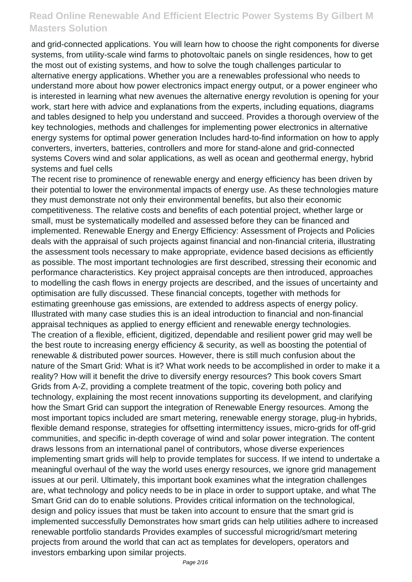and grid-connected applications. You will learn how to choose the right components for diverse systems, from utility-scale wind farms to photovoltaic panels on single residences, how to get the most out of existing systems, and how to solve the tough challenges particular to alternative energy applications. Whether you are a renewables professional who needs to understand more about how power electronics impact energy output, or a power engineer who is interested in learning what new avenues the alternative energy revolution is opening for your work, start here with advice and explanations from the experts, including equations, diagrams and tables designed to help you understand and succeed. Provides a thorough overview of the key technologies, methods and challenges for implementing power electronics in alternative energy systems for optimal power generation Includes hard-to-find information on how to apply converters, inverters, batteries, controllers and more for stand-alone and grid-connected systems Covers wind and solar applications, as well as ocean and geothermal energy, hybrid systems and fuel cells

The recent rise to prominence of renewable energy and energy efficiency has been driven by their potential to lower the environmental impacts of energy use. As these technologies mature they must demonstrate not only their environmental benefits, but also their economic competitiveness. The relative costs and benefits of each potential project, whether large or small, must be systematically modelled and assessed before they can be financed and implemented. Renewable Energy and Energy Efficiency: Assessment of Projects and Policies deals with the appraisal of such projects against financial and non-financial criteria, illustrating the assessment tools necessary to make appropriate, evidence based decisions as efficiently as possible. The most important technologies are first described, stressing their economic and performance characteristics. Key project appraisal concepts are then introduced, approaches to modelling the cash flows in energy projects are described, and the issues of uncertainty and optimisation are fully discussed. These financial concepts, together with methods for estimating greenhouse gas emissions, are extended to address aspects of energy policy. Illustrated with many case studies this is an ideal introduction to financial and non-financial appraisal techniques as applied to energy efficient and renewable energy technologies. The creation of a flexible, efficient, digitized, dependable and resilient power grid may well be the best route to increasing energy efficiency & security, as well as boosting the potential of renewable & distributed power sources. However, there is still much confusion about the nature of the Smart Grid: What is it? What work needs to be accomplished in order to make it a reality? How will it benefit the drive to diversify energy resources? This book covers Smart Grids from A-Z, providing a complete treatment of the topic, covering both policy and technology, explaining the most recent innovations supporting its development, and clarifying how the Smart Grid can support the integration of Renewable Energy resources. Among the most important topics included are smart metering, renewable energy storage, plug-in hybrids, flexible demand response, strategies for offsetting intermittency issues, micro-grids for off-grid communities, and specific in-depth coverage of wind and solar power integration. The content draws lessons from an international panel of contributors, whose diverse experiences implementing smart grids will help to provide templates for success. If we intend to undertake a meaningful overhaul of the way the world uses energy resources, we ignore grid management issues at our peril. Ultimately, this important book examines what the integration challenges are, what technology and policy needs to be in place in order to support uptake, and what The Smart Grid can do to enable solutions. Provides critical information on the technological, design and policy issues that must be taken into account to ensure that the smart grid is implemented successfully Demonstrates how smart grids can help utilities adhere to increased renewable portfolio standards Provides examples of successful microgrid/smart metering projects from around the world that can act as templates for developers, operators and investors embarking upon similar projects.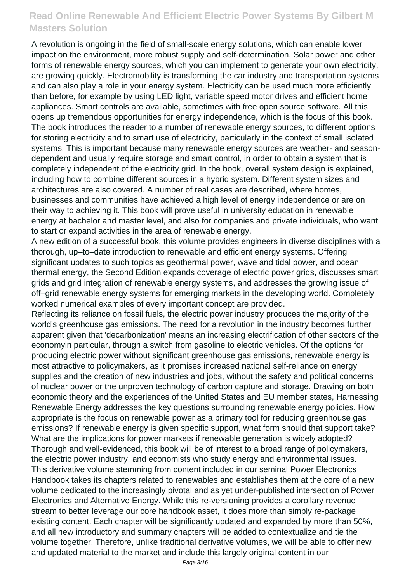A revolution is ongoing in the field of small-scale energy solutions, which can enable lower impact on the environment, more robust supply and self-determination. Solar power and other forms of renewable energy sources, which you can implement to generate your own electricity, are growing quickly. Electromobility is transforming the car industry and transportation systems and can also play a role in your energy system. Electricity can be used much more efficiently than before, for example by using LED light, variable speed motor drives and efficient home appliances. Smart controls are available, sometimes with free open source software. All this opens up tremendous opportunities for energy independence, which is the focus of this book. The book introduces the reader to a number of renewable energy sources, to different options for storing electricity and to smart use of electricity, particularly in the context of small isolated systems. This is important because many renewable energy sources are weather- and seasondependent and usually require storage and smart control, in order to obtain a system that is completely independent of the electricity grid. In the book, overall system design is explained, including how to combine different sources in a hybrid system. Different system sizes and architectures are also covered. A number of real cases are described, where homes, businesses and communities have achieved a high level of energy independence or are on their way to achieving it. This book will prove useful in university education in renewable energy at bachelor and master level, and also for companies and private individuals, who want to start or expand activities in the area of renewable energy.

A new edition of a successful book, this volume provides engineers in diverse disciplines with a thorough, up–to–date introduction to renewable and efficient energy systems. Offering significant updates to such topics as geothermal power, wave and tidal power, and ocean thermal energy, the Second Edition expands coverage of electric power grids, discusses smart grids and grid integration of renewable energy systems, and addresses the growing issue of off–grid renewable energy systems for emerging markets in the developing world. Completely worked numerical examples of every important concept are provided.

Reflecting its reliance on fossil fuels, the electric power industry produces the majority of the world's greenhouse gas emissions. The need for a revolution in the industry becomes further apparent given that 'decarbonization' means an increasing electrification of other sectors of the economyin particular, through a switch from gasoline to electric vehicles. Of the options for producing electric power without significant greenhouse gas emissions, renewable energy is most attractive to policymakers, as it promises increased national self-reliance on energy supplies and the creation of new industries and jobs, without the safety and political concerns of nuclear power or the unproven technology of carbon capture and storage. Drawing on both economic theory and the experiences of the United States and EU member states, Harnessing Renewable Energy addresses the key questions surrounding renewable energy policies. How appropriate is the focus on renewable power as a primary tool for reducing greenhouse gas emissions? If renewable energy is given specific support, what form should that support take? What are the implications for power markets if renewable generation is widely adopted? Thorough and well-evidenced, this book will be of interest to a broad range of policymakers, the electric power industry, and economists who study energy and environmental issues. This derivative volume stemming from content included in our seminal Power Electronics Handbook takes its chapters related to renewables and establishes them at the core of a new volume dedicated to the increasingly pivotal and as yet under-published intersection of Power Electronics and Alternative Energy. While this re-versioning provides a corollary revenue stream to better leverage our core handbook asset, it does more than simply re-package existing content. Each chapter will be significantly updated and expanded by more than 50%, and all new introductory and summary chapters will be added to contextualize and tie the volume together. Therefore, unlike traditional derivative volumes, we will be able to offer new and updated material to the market and include this largely original content in our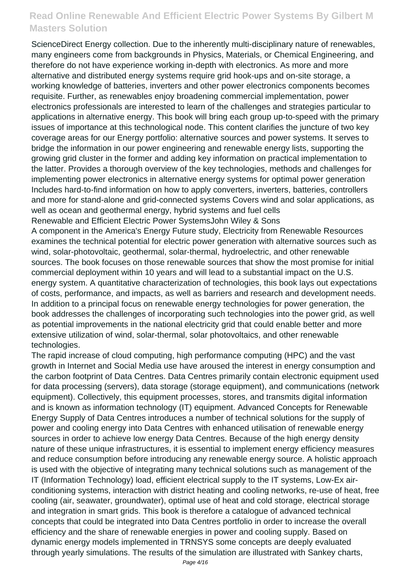ScienceDirect Energy collection. Due to the inherently multi-disciplinary nature of renewables, many engineers come from backgrounds in Physics, Materials, or Chemical Engineering, and therefore do not have experience working in-depth with electronics. As more and more alternative and distributed energy systems require grid hook-ups and on-site storage, a working knowledge of batteries, inverters and other power electronics components becomes requisite. Further, as renewables enjoy broadening commercial implementation, power electronics professionals are interested to learn of the challenges and strategies particular to applications in alternative energy. This book will bring each group up-to-speed with the primary issues of importance at this technological node. This content clarifies the juncture of two key coverage areas for our Energy portfolio: alternative sources and power systems. It serves to bridge the information in our power engineering and renewable energy lists, supporting the growing grid cluster in the former and adding key information on practical implementation to the latter. Provides a thorough overview of the key technologies, methods and challenges for implementing power electronics in alternative energy systems for optimal power generation Includes hard-to-find information on how to apply converters, inverters, batteries, controllers and more for stand-alone and grid-connected systems Covers wind and solar applications, as well as ocean and geothermal energy, hybrid systems and fuel cells Renewable and Efficient Electric Power SystemsJohn Wiley & Sons

A component in the America's Energy Future study, Electricity from Renewable Resources examines the technical potential for electric power generation with alternative sources such as wind, solar-photovoltaic, geothermal, solar-thermal, hydroelectric, and other renewable sources. The book focuses on those renewable sources that show the most promise for initial commercial deployment within 10 years and will lead to a substantial impact on the U.S. energy system. A quantitative characterization of technologies, this book lays out expectations of costs, performance, and impacts, as well as barriers and research and development needs. In addition to a principal focus on renewable energy technologies for power generation, the book addresses the challenges of incorporating such technologies into the power grid, as well as potential improvements in the national electricity grid that could enable better and more extensive utilization of wind, solar-thermal, solar photovoltaics, and other renewable technologies.

The rapid increase of cloud computing, high performance computing (HPC) and the vast growth in Internet and Social Media use have aroused the interest in energy consumption and the carbon footprint of Data Centres. Data Centres primarily contain electronic equipment used for data processing (servers), data storage (storage equipment), and communications (network equipment). Collectively, this equipment processes, stores, and transmits digital information and is known as information technology (IT) equipment. Advanced Concepts for Renewable Energy Supply of Data Centres introduces a number of technical solutions for the supply of power and cooling energy into Data Centres with enhanced utilisation of renewable energy sources in order to achieve low energy Data Centres. Because of the high energy density nature of these unique infrastructures, it is essential to implement energy efficiency measures and reduce consumption before introducing any renewable energy source. A holistic approach is used with the objective of integrating many technical solutions such as management of the IT (Information Technology) load, efficient electrical supply to the IT systems, Low-Ex airconditioning systems, interaction with district heating and cooling networks, re-use of heat, free cooling (air, seawater, groundwater), optimal use of heat and cold storage, electrical storage and integration in smart grids. This book is therefore a catalogue of advanced technical concepts that could be integrated into Data Centres portfolio in order to increase the overall efficiency and the share of renewable energies in power and cooling supply. Based on dynamic energy models implemented in TRNSYS some concepts are deeply evaluated through yearly simulations. The results of the simulation are illustrated with Sankey charts,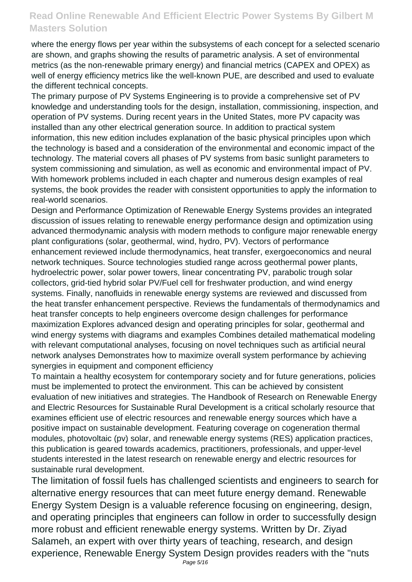where the energy flows per year within the subsystems of each concept for a selected scenario are shown, and graphs showing the results of parametric analysis. A set of environmental metrics (as the non-renewable primary energy) and financial metrics (CAPEX and OPEX) as well of energy efficiency metrics like the well-known PUE, are described and used to evaluate the different technical concepts.

The primary purpose of PV Systems Engineering is to provide a comprehensive set of PV knowledge and understanding tools for the design, installation, commissioning, inspection, and operation of PV systems. During recent years in the United States, more PV capacity was installed than any other electrical generation source. In addition to practical system information, this new edition includes explanation of the basic physical principles upon which the technology is based and a consideration of the environmental and economic impact of the technology. The material covers all phases of PV systems from basic sunlight parameters to system commissioning and simulation, as well as economic and environmental impact of PV. With homework problems included in each chapter and numerous design examples of real systems, the book provides the reader with consistent opportunities to apply the information to real-world scenarios.

Design and Performance Optimization of Renewable Energy Systems provides an integrated discussion of issues relating to renewable energy performance design and optimization using advanced thermodynamic analysis with modern methods to configure major renewable energy plant configurations (solar, geothermal, wind, hydro, PV). Vectors of performance enhancement reviewed include thermodynamics, heat transfer, exergoeconomics and neural network techniques. Source technologies studied range across geothermal power plants, hydroelectric power, solar power towers, linear concentrating PV, parabolic trough solar collectors, grid-tied hybrid solar PV/Fuel cell for freshwater production, and wind energy systems. Finally, nanofluids in renewable energy systems are reviewed and discussed from the heat transfer enhancement perspective. Reviews the fundamentals of thermodynamics and heat transfer concepts to help engineers overcome design challenges for performance maximization Explores advanced design and operating principles for solar, geothermal and wind energy systems with diagrams and examples Combines detailed mathematical modeling with relevant computational analyses, focusing on novel techniques such as artificial neural network analyses Demonstrates how to maximize overall system performance by achieving synergies in equipment and component efficiency

To maintain a healthy ecosystem for contemporary society and for future generations, policies must be implemented to protect the environment. This can be achieved by consistent evaluation of new initiatives and strategies. The Handbook of Research on Renewable Energy and Electric Resources for Sustainable Rural Development is a critical scholarly resource that examines efficient use of electric resources and renewable energy sources which have a positive impact on sustainable development. Featuring coverage on cogeneration thermal modules, photovoltaic (pv) solar, and renewable energy systems (RES) application practices, this publication is geared towards academics, practitioners, professionals, and upper-level students interested in the latest research on renewable energy and electric resources for sustainable rural development.

The limitation of fossil fuels has challenged scientists and engineers to search for alternative energy resources that can meet future energy demand. Renewable Energy System Design is a valuable reference focusing on engineering, design, and operating principles that engineers can follow in order to successfully design more robust and efficient renewable energy systems. Written by Dr. Ziyad Salameh, an expert with over thirty years of teaching, research, and design experience, Renewable Energy System Design provides readers with the "nuts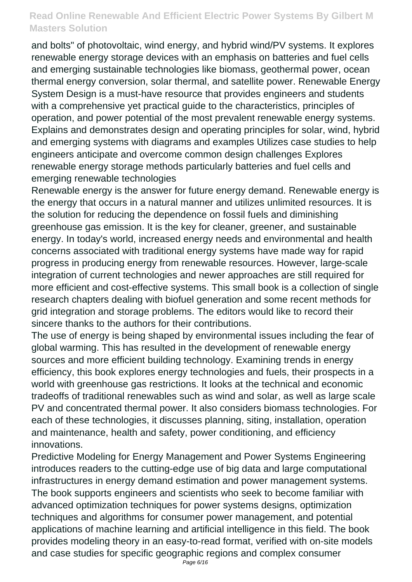and bolts" of photovoltaic, wind energy, and hybrid wind/PV systems. It explores renewable energy storage devices with an emphasis on batteries and fuel cells and emerging sustainable technologies like biomass, geothermal power, ocean thermal energy conversion, solar thermal, and satellite power. Renewable Energy System Design is a must-have resource that provides engineers and students with a comprehensive yet practical guide to the characteristics, principles of operation, and power potential of the most prevalent renewable energy systems. Explains and demonstrates design and operating principles for solar, wind, hybrid and emerging systems with diagrams and examples Utilizes case studies to help engineers anticipate and overcome common design challenges Explores renewable energy storage methods particularly batteries and fuel cells and emerging renewable technologies

Renewable energy is the answer for future energy demand. Renewable energy is the energy that occurs in a natural manner and utilizes unlimited resources. It is the solution for reducing the dependence on fossil fuels and diminishing greenhouse gas emission. It is the key for cleaner, greener, and sustainable energy. In today's world, increased energy needs and environmental and health concerns associated with traditional energy systems have made way for rapid progress in producing energy from renewable resources. However, large-scale integration of current technologies and newer approaches are still required for more efficient and cost-effective systems. This small book is a collection of single research chapters dealing with biofuel generation and some recent methods for grid integration and storage problems. The editors would like to record their sincere thanks to the authors for their contributions.

The use of energy is being shaped by environmental issues including the fear of global warming. This has resulted in the development of renewable energy sources and more efficient building technology. Examining trends in energy efficiency, this book explores energy technologies and fuels, their prospects in a world with greenhouse gas restrictions. It looks at the technical and economic tradeoffs of traditional renewables such as wind and solar, as well as large scale PV and concentrated thermal power. It also considers biomass technologies. For each of these technologies, it discusses planning, siting, installation, operation and maintenance, health and safety, power conditioning, and efficiency innovations.

Predictive Modeling for Energy Management and Power Systems Engineering introduces readers to the cutting-edge use of big data and large computational infrastructures in energy demand estimation and power management systems. The book supports engineers and scientists who seek to become familiar with advanced optimization techniques for power systems designs, optimization techniques and algorithms for consumer power management, and potential applications of machine learning and artificial intelligence in this field. The book provides modeling theory in an easy-to-read format, verified with on-site models and case studies for specific geographic regions and complex consumer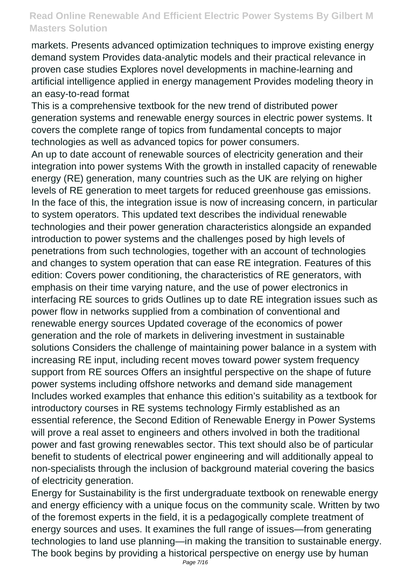markets. Presents advanced optimization techniques to improve existing energy demand system Provides data-analytic models and their practical relevance in proven case studies Explores novel developments in machine-learning and artificial intelligence applied in energy management Provides modeling theory in an easy-to-read format

This is a comprehensive textbook for the new trend of distributed power generation systems and renewable energy sources in electric power systems. It covers the complete range of topics from fundamental concepts to major technologies as well as advanced topics for power consumers.

An up to date account of renewable sources of electricity generation and their integration into power systems With the growth in installed capacity of renewable energy (RE) generation, many countries such as the UK are relying on higher levels of RE generation to meet targets for reduced greenhouse gas emissions. In the face of this, the integration issue is now of increasing concern, in particular to system operators. This updated text describes the individual renewable technologies and their power generation characteristics alongside an expanded introduction to power systems and the challenges posed by high levels of penetrations from such technologies, together with an account of technologies and changes to system operation that can ease RE integration. Features of this edition: Covers power conditioning, the characteristics of RE generators, with emphasis on their time varying nature, and the use of power electronics in interfacing RE sources to grids Outlines up to date RE integration issues such as power flow in networks supplied from a combination of conventional and renewable energy sources Updated coverage of the economics of power generation and the role of markets in delivering investment in sustainable solutions Considers the challenge of maintaining power balance in a system with increasing RE input, including recent moves toward power system frequency support from RE sources Offers an insightful perspective on the shape of future power systems including offshore networks and demand side management Includes worked examples that enhance this edition's suitability as a textbook for introductory courses in RE systems technology Firmly established as an essential reference, the Second Edition of Renewable Energy in Power Systems will prove a real asset to engineers and others involved in both the traditional power and fast growing renewables sector. This text should also be of particular benefit to students of electrical power engineering and will additionally appeal to non-specialists through the inclusion of background material covering the basics of electricity generation.

Energy for Sustainability is the first undergraduate textbook on renewable energy and energy efficiency with a unique focus on the community scale. Written by two of the foremost experts in the field, it is a pedagogically complete treatment of energy sources and uses. It examines the full range of issues—from generating technologies to land use planning—in making the transition to sustainable energy. The book begins by providing a historical perspective on energy use by human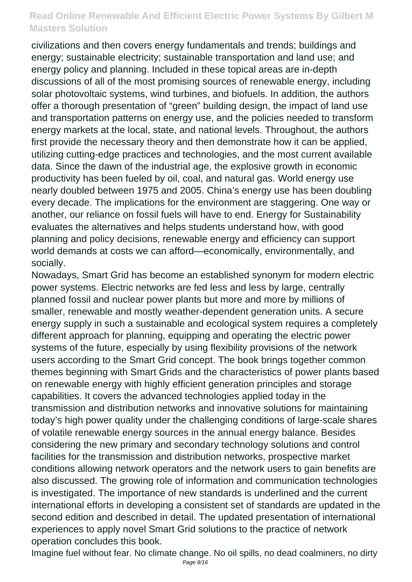civilizations and then covers energy fundamentals and trends; buildings and energy; sustainable electricity; sustainable transportation and land use; and energy policy and planning. Included in these topical areas are in-depth discussions of all of the most promising sources of renewable energy, including solar photovoltaic systems, wind turbines, and biofuels. In addition, the authors offer a thorough presentation of "green" building design, the impact of land use and transportation patterns on energy use, and the policies needed to transform energy markets at the local, state, and national levels. Throughout, the authors first provide the necessary theory and then demonstrate how it can be applied, utilizing cutting-edge practices and technologies, and the most current available data. Since the dawn of the industrial age, the explosive growth in economic productivity has been fueled by oil, coal, and natural gas. World energy use nearly doubled between 1975 and 2005. China's energy use has been doubling every decade. The implications for the environment are staggering. One way or another, our reliance on fossil fuels will have to end. Energy for Sustainability evaluates the alternatives and helps students understand how, with good planning and policy decisions, renewable energy and efficiency can support world demands at costs we can afford—economically, environmentally, and socially.

Nowadays, Smart Grid has become an established synonym for modern electric power systems. Electric networks are fed less and less by large, centrally planned fossil and nuclear power plants but more and more by millions of smaller, renewable and mostly weather-dependent generation units. A secure energy supply in such a sustainable and ecological system requires a completely different approach for planning, equipping and operating the electric power systems of the future, especially by using flexibility provisions of the network users according to the Smart Grid concept. The book brings together common themes beginning with Smart Grids and the characteristics of power plants based on renewable energy with highly efficient generation principles and storage capabilities. It covers the advanced technologies applied today in the transmission and distribution networks and innovative solutions for maintaining today's high power quality under the challenging conditions of large-scale shares of volatile renewable energy sources in the annual energy balance. Besides considering the new primary and secondary technology solutions and control facilities for the transmission and distribution networks, prospective market conditions allowing network operators and the network users to gain benefits are also discussed. The growing role of information and communication technologies is investigated. The importance of new standards is underlined and the current international efforts in developing a consistent set of standards are updated in the second edition and described in detail. The updated presentation of international experiences to apply novel Smart Grid solutions to the practice of network operation concludes this book.

Imagine fuel without fear. No climate change. No oil spills, no dead coalminers, no dirty Page 8/16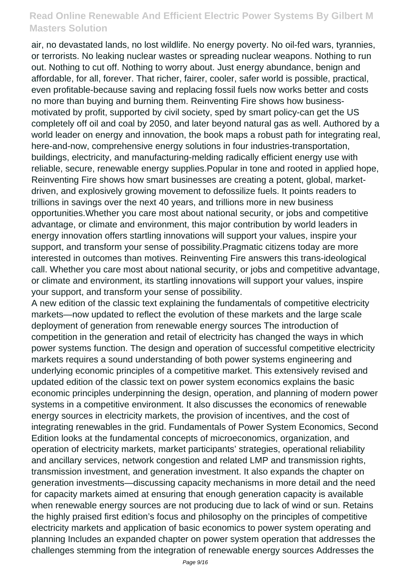air, no devastated lands, no lost wildlife. No energy poverty. No oil-fed wars, tyrannies, or terrorists. No leaking nuclear wastes or spreading nuclear weapons. Nothing to run out. Nothing to cut off. Nothing to worry about. Just energy abundance, benign and affordable, for all, forever. That richer, fairer, cooler, safer world is possible, practical, even profitable-because saving and replacing fossil fuels now works better and costs no more than buying and burning them. Reinventing Fire shows how businessmotivated by profit, supported by civil society, sped by smart policy-can get the US completely off oil and coal by 2050, and later beyond natural gas as well. Authored by a world leader on energy and innovation, the book maps a robust path for integrating real, here-and-now, comprehensive energy solutions in four industries-transportation, buildings, electricity, and manufacturing-melding radically efficient energy use with reliable, secure, renewable energy supplies.Popular in tone and rooted in applied hope, Reinventing Fire shows how smart businesses are creating a potent, global, marketdriven, and explosively growing movement to defossilize fuels. It points readers to trillions in savings over the next 40 years, and trillions more in new business opportunities.Whether you care most about national security, or jobs and competitive advantage, or climate and environment, this major contribution by world leaders in energy innovation offers startling innovations will support your values, inspire your support, and transform your sense of possibility.Pragmatic citizens today are more interested in outcomes than motives. Reinventing Fire answers this trans-ideological call. Whether you care most about national security, or jobs and competitive advantage, or climate and environment, its startling innovations will support your values, inspire your support, and transform your sense of possibility.

A new edition of the classic text explaining the fundamentals of competitive electricity markets—now updated to reflect the evolution of these markets and the large scale deployment of generation from renewable energy sources The introduction of competition in the generation and retail of electricity has changed the ways in which power systems function. The design and operation of successful competitive electricity markets requires a sound understanding of both power systems engineering and underlying economic principles of a competitive market. This extensively revised and updated edition of the classic text on power system economics explains the basic economic principles underpinning the design, operation, and planning of modern power systems in a competitive environment. It also discusses the economics of renewable energy sources in electricity markets, the provision of incentives, and the cost of integrating renewables in the grid. Fundamentals of Power System Economics, Second Edition looks at the fundamental concepts of microeconomics, organization, and operation of electricity markets, market participants' strategies, operational reliability and ancillary services, network congestion and related LMP and transmission rights, transmission investment, and generation investment. It also expands the chapter on generation investments—discussing capacity mechanisms in more detail and the need for capacity markets aimed at ensuring that enough generation capacity is available when renewable energy sources are not producing due to lack of wind or sun. Retains the highly praised first edition's focus and philosophy on the principles of competitive electricity markets and application of basic economics to power system operating and planning Includes an expanded chapter on power system operation that addresses the challenges stemming from the integration of renewable energy sources Addresses the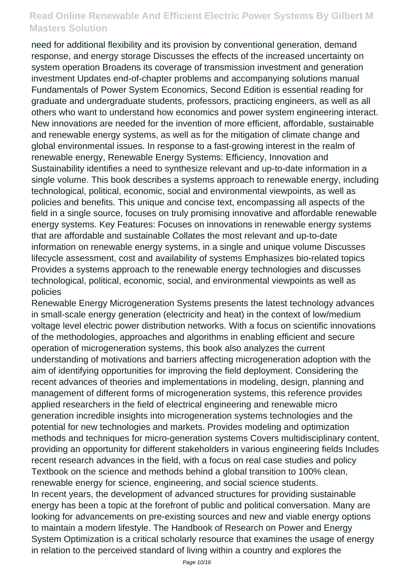need for additional flexibility and its provision by conventional generation, demand response, and energy storage Discusses the effects of the increased uncertainty on system operation Broadens its coverage of transmission investment and generation investment Updates end-of-chapter problems and accompanying solutions manual Fundamentals of Power System Economics, Second Edition is essential reading for graduate and undergraduate students, professors, practicing engineers, as well as all others who want to understand how economics and power system engineering interact. New innovations are needed for the invention of more efficient, affordable, sustainable and renewable energy systems, as well as for the mitigation of climate change and global environmental issues. In response to a fast-growing interest in the realm of renewable energy, Renewable Energy Systems: Efficiency, Innovation and Sustainability identifies a need to synthesize relevant and up-to-date information in a single volume. This book describes a systems approach to renewable energy, including technological, political, economic, social and environmental viewpoints, as well as policies and benefits. This unique and concise text, encompassing all aspects of the field in a single source, focuses on truly promising innovative and affordable renewable energy systems. Key Features: Focuses on innovations in renewable energy systems that are affordable and sustainable Collates the most relevant and up-to-date information on renewable energy systems, in a single and unique volume Discusses lifecycle assessment, cost and availability of systems Emphasizes bio-related topics Provides a systems approach to the renewable energy technologies and discusses technological, political, economic, social, and environmental viewpoints as well as policies

Renewable Energy Microgeneration Systems presents the latest technology advances in small-scale energy generation (electricity and heat) in the context of low/medium voltage level electric power distribution networks. With a focus on scientific innovations of the methodologies, approaches and algorithms in enabling efficient and secure operation of microgeneration systems, this book also analyzes the current understanding of motivations and barriers affecting microgeneration adoption with the aim of identifying opportunities for improving the field deployment. Considering the recent advances of theories and implementations in modeling, design, planning and management of different forms of microgeneration systems, this reference provides applied researchers in the field of electrical engineering and renewable micro generation incredible insights into microgeneration systems technologies and the potential for new technologies and markets. Provides modeling and optimization methods and techniques for micro-generation systems Covers multidisciplinary content, providing an opportunity for different stakeholders in various engineering fields Includes recent research advances in the field, with a focus on real case studies and policy Textbook on the science and methods behind a global transition to 100% clean, renewable energy for science, engineering, and social science students. In recent years, the development of advanced structures for providing sustainable energy has been a topic at the forefront of public and political conversation. Many are looking for advancements on pre-existing sources and new and viable energy options to maintain a modern lifestyle. The Handbook of Research on Power and Energy System Optimization is a critical scholarly resource that examines the usage of energy in relation to the perceived standard of living within a country and explores the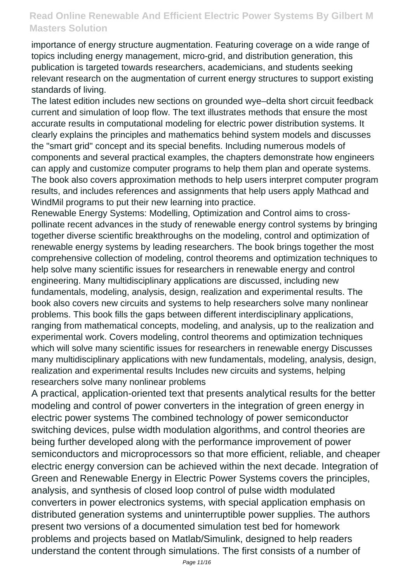importance of energy structure augmentation. Featuring coverage on a wide range of topics including energy management, micro-grid, and distribution generation, this publication is targeted towards researchers, academicians, and students seeking relevant research on the augmentation of current energy structures to support existing standards of living.

The latest edition includes new sections on grounded wye–delta short circuit feedback current and simulation of loop flow. The text illustrates methods that ensure the most accurate results in computational modeling for electric power distribution systems. It clearly explains the principles and mathematics behind system models and discusses the "smart grid" concept and its special benefits. Including numerous models of components and several practical examples, the chapters demonstrate how engineers can apply and customize computer programs to help them plan and operate systems. The book also covers approximation methods to help users interpret computer program results, and includes references and assignments that help users apply Mathcad and WindMil programs to put their new learning into practice.

Renewable Energy Systems: Modelling, Optimization and Control aims to crosspollinate recent advances in the study of renewable energy control systems by bringing together diverse scientific breakthroughs on the modeling, control and optimization of renewable energy systems by leading researchers. The book brings together the most comprehensive collection of modeling, control theorems and optimization techniques to help solve many scientific issues for researchers in renewable energy and control engineering. Many multidisciplinary applications are discussed, including new fundamentals, modeling, analysis, design, realization and experimental results. The book also covers new circuits and systems to help researchers solve many nonlinear problems. This book fills the gaps between different interdisciplinary applications, ranging from mathematical concepts, modeling, and analysis, up to the realization and experimental work. Covers modeling, control theorems and optimization techniques which will solve many scientific issues for researchers in renewable energy Discusses many multidisciplinary applications with new fundamentals, modeling, analysis, design, realization and experimental results Includes new circuits and systems, helping researchers solve many nonlinear problems

A practical, application-oriented text that presents analytical results for the better modeling and control of power converters in the integration of green energy in electric power systems The combined technology of power semiconductor switching devices, pulse width modulation algorithms, and control theories are being further developed along with the performance improvement of power semiconductors and microprocessors so that more efficient, reliable, and cheaper electric energy conversion can be achieved within the next decade. Integration of Green and Renewable Energy in Electric Power Systems covers the principles, analysis, and synthesis of closed loop control of pulse width modulated converters in power electronics systems, with special application emphasis on distributed generation systems and uninterruptible power supplies. The authors present two versions of a documented simulation test bed for homework problems and projects based on Matlab/Simulink, designed to help readers understand the content through simulations. The first consists of a number of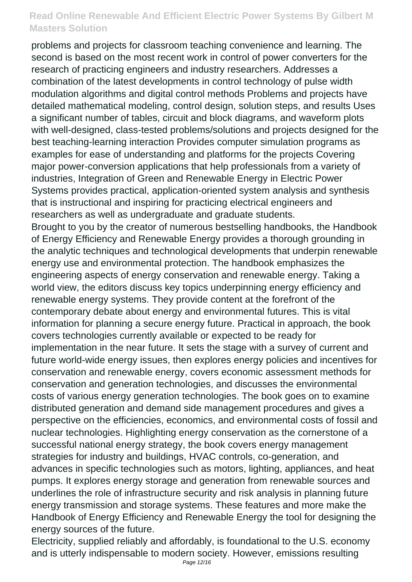problems and projects for classroom teaching convenience and learning. The second is based on the most recent work in control of power converters for the research of practicing engineers and industry researchers. Addresses a combination of the latest developments in control technology of pulse width modulation algorithms and digital control methods Problems and projects have detailed mathematical modeling, control design, solution steps, and results Uses a significant number of tables, circuit and block diagrams, and waveform plots with well-designed, class-tested problems/solutions and projects designed for the best teaching-learning interaction Provides computer simulation programs as examples for ease of understanding and platforms for the projects Covering major power-conversion applications that help professionals from a variety of industries, Integration of Green and Renewable Energy in Electric Power Systems provides practical, application-oriented system analysis and synthesis that is instructional and inspiring for practicing electrical engineers and researchers as well as undergraduate and graduate students. Brought to you by the creator of numerous bestselling handbooks, the Handbook of Energy Efficiency and Renewable Energy provides a thorough grounding in the analytic techniques and technological developments that underpin renewable energy use and environmental protection. The handbook emphasizes the engineering aspects of energy conservation and renewable energy. Taking a world view, the editors discuss key topics underpinning energy efficiency and renewable energy systems. They provide content at the forefront of the contemporary debate about energy and environmental futures. This is vital information for planning a secure energy future. Practical in approach, the book covers technologies currently available or expected to be ready for implementation in the near future. It sets the stage with a survey of current and future world-wide energy issues, then explores energy policies and incentives for conservation and renewable energy, covers economic assessment methods for conservation and generation technologies, and discusses the environmental costs of various energy generation technologies. The book goes on to examine distributed generation and demand side management procedures and gives a perspective on the efficiencies, economics, and environmental costs of fossil and nuclear technologies. Highlighting energy conservation as the cornerstone of a successful national energy strategy, the book covers energy management strategies for industry and buildings, HVAC controls, co-generation, and

advances in specific technologies such as motors, lighting, appliances, and heat pumps. It explores energy storage and generation from renewable sources and underlines the role of infrastructure security and risk analysis in planning future energy transmission and storage systems. These features and more make the Handbook of Energy Efficiency and Renewable Energy the tool for designing the energy sources of the future.

Electricity, supplied reliably and affordably, is foundational to the U.S. economy and is utterly indispensable to modern society. However, emissions resulting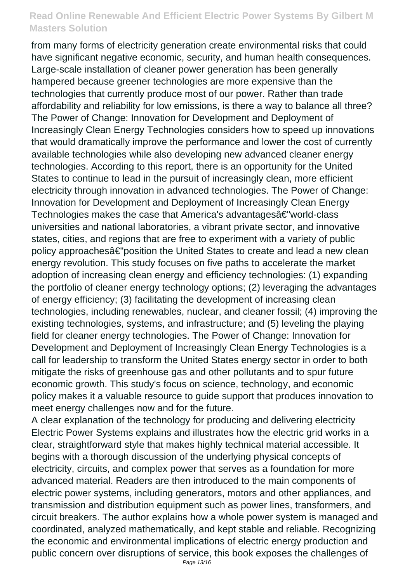from many forms of electricity generation create environmental risks that could have significant negative economic, security, and human health consequences. Large-scale installation of cleaner power generation has been generally hampered because greener technologies are more expensive than the technologies that currently produce most of our power. Rather than trade affordability and reliability for low emissions, is there a way to balance all three? The Power of Change: Innovation for Development and Deployment of Increasingly Clean Energy Technologies considers how to speed up innovations that would dramatically improve the performance and lower the cost of currently available technologies while also developing new advanced cleaner energy technologies. According to this report, there is an opportunity for the United States to continue to lead in the pursuit of increasingly clean, more efficient electricity through innovation in advanced technologies. The Power of Change: Innovation for Development and Deployment of Increasingly Clean Energy Technologies makes the case that America's advantagesâ€"world-class universities and national laboratories, a vibrant private sector, and innovative states, cities, and regions that are free to experiment with a variety of public policy approachesâ€"position the United States to create and lead a new clean energy revolution. This study focuses on five paths to accelerate the market adoption of increasing clean energy and efficiency technologies: (1) expanding the portfolio of cleaner energy technology options; (2) leveraging the advantages of energy efficiency; (3) facilitating the development of increasing clean technologies, including renewables, nuclear, and cleaner fossil; (4) improving the existing technologies, systems, and infrastructure; and (5) leveling the playing field for cleaner energy technologies. The Power of Change: Innovation for Development and Deployment of Increasingly Clean Energy Technologies is a call for leadership to transform the United States energy sector in order to both mitigate the risks of greenhouse gas and other pollutants and to spur future economic growth. This study's focus on science, technology, and economic policy makes it a valuable resource to guide support that produces innovation to meet energy challenges now and for the future.

A clear explanation of the technology for producing and delivering electricity Electric Power Systems explains and illustrates how the electric grid works in a clear, straightforward style that makes highly technical material accessible. It begins with a thorough discussion of the underlying physical concepts of electricity, circuits, and complex power that serves as a foundation for more advanced material. Readers are then introduced to the main components of electric power systems, including generators, motors and other appliances, and transmission and distribution equipment such as power lines, transformers, and circuit breakers. The author explains how a whole power system is managed and coordinated, analyzed mathematically, and kept stable and reliable. Recognizing the economic and environmental implications of electric energy production and public concern over disruptions of service, this book exposes the challenges of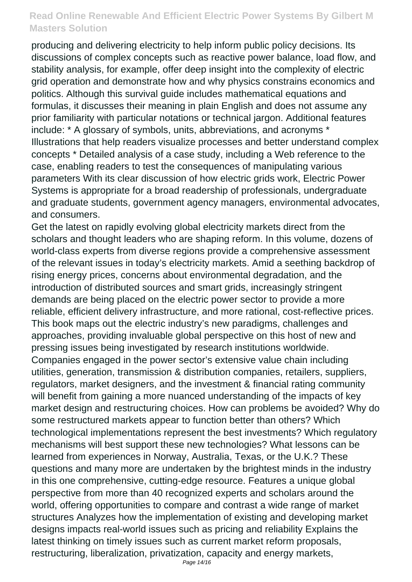producing and delivering electricity to help inform public policy decisions. Its discussions of complex concepts such as reactive power balance, load flow, and stability analysis, for example, offer deep insight into the complexity of electric grid operation and demonstrate how and why physics constrains economics and politics. Although this survival guide includes mathematical equations and formulas, it discusses their meaning in plain English and does not assume any prior familiarity with particular notations or technical jargon. Additional features include: \* A glossary of symbols, units, abbreviations, and acronyms \* Illustrations that help readers visualize processes and better understand complex concepts \* Detailed analysis of a case study, including a Web reference to the case, enabling readers to test the consequences of manipulating various parameters With its clear discussion of how electric grids work, Electric Power Systems is appropriate for a broad readership of professionals, undergraduate and graduate students, government agency managers, environmental advocates, and consumers.

Get the latest on rapidly evolving global electricity markets direct from the scholars and thought leaders who are shaping reform. In this volume, dozens of world-class experts from diverse regions provide a comprehensive assessment of the relevant issues in today's electricity markets. Amid a seething backdrop of rising energy prices, concerns about environmental degradation, and the introduction of distributed sources and smart grids, increasingly stringent demands are being placed on the electric power sector to provide a more reliable, efficient delivery infrastructure, and more rational, cost-reflective prices. This book maps out the electric industry's new paradigms, challenges and approaches, providing invaluable global perspective on this host of new and pressing issues being investigated by research institutions worldwide. Companies engaged in the power sector's extensive value chain including utilities, generation, transmission & distribution companies, retailers, suppliers, regulators, market designers, and the investment & financial rating community will benefit from gaining a more nuanced understanding of the impacts of key market design and restructuring choices. How can problems be avoided? Why do some restructured markets appear to function better than others? Which technological implementations represent the best investments? Which regulatory mechanisms will best support these new technologies? What lessons can be learned from experiences in Norway, Australia, Texas, or the U.K.? These questions and many more are undertaken by the brightest minds in the industry in this one comprehensive, cutting-edge resource. Features a unique global perspective from more than 40 recognized experts and scholars around the world, offering opportunities to compare and contrast a wide range of market structures Analyzes how the implementation of existing and developing market designs impacts real-world issues such as pricing and reliability Explains the latest thinking on timely issues such as current market reform proposals, restructuring, liberalization, privatization, capacity and energy markets,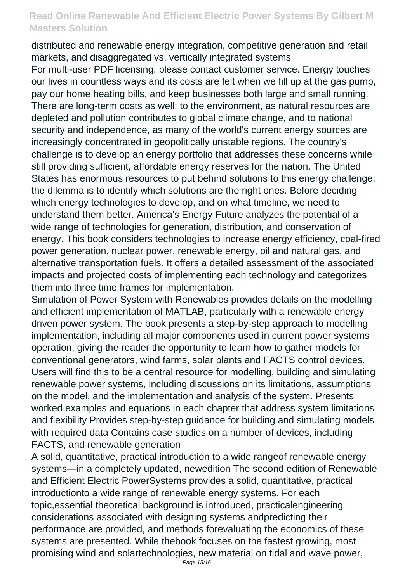distributed and renewable energy integration, competitive generation and retail markets, and disaggregated vs. vertically integrated systems

For multi-user PDF licensing, please contact customer service. Energy touches our lives in countless ways and its costs are felt when we fill up at the gas pump, pay our home heating bills, and keep businesses both large and small running. There are long-term costs as well: to the environment, as natural resources are depleted and pollution contributes to global climate change, and to national security and independence, as many of the world's current energy sources are increasingly concentrated in geopolitically unstable regions. The country's challenge is to develop an energy portfolio that addresses these concerns while still providing sufficient, affordable energy reserves for the nation. The United States has enormous resources to put behind solutions to this energy challenge; the dilemma is to identify which solutions are the right ones. Before deciding which energy technologies to develop, and on what timeline, we need to understand them better. America's Energy Future analyzes the potential of a wide range of technologies for generation, distribution, and conservation of energy. This book considers technologies to increase energy efficiency, coal-fired power generation, nuclear power, renewable energy, oil and natural gas, and alternative transportation fuels. It offers a detailed assessment of the associated impacts and projected costs of implementing each technology and categorizes them into three time frames for implementation.

Simulation of Power System with Renewables provides details on the modelling and efficient implementation of MATLAB, particularly with a renewable energy driven power system. The book presents a step-by-step approach to modelling implementation, including all major components used in current power systems operation, giving the reader the opportunity to learn how to gather models for conventional generators, wind farms, solar plants and FACTS control devices. Users will find this to be a central resource for modelling, building and simulating renewable power systems, including discussions on its limitations, assumptions on the model, and the implementation and analysis of the system. Presents worked examples and equations in each chapter that address system limitations and flexibility Provides step-by-step guidance for building and simulating models with required data Contains case studies on a number of devices, including FACTS, and renewable generation

A solid, quantitative, practical introduction to a wide rangeof renewable energy systems—in a completely updated, newedition The second edition of Renewable and Efficient Electric PowerSystems provides a solid, quantitative, practical introductionto a wide range of renewable energy systems. For each topic,essential theoretical background is introduced, practicalengineering considerations associated with designing systems andpredicting their performance are provided, and methods forevaluating the economics of these systems are presented. While thebook focuses on the fastest growing, most promising wind and solartechnologies, new material on tidal and wave power,